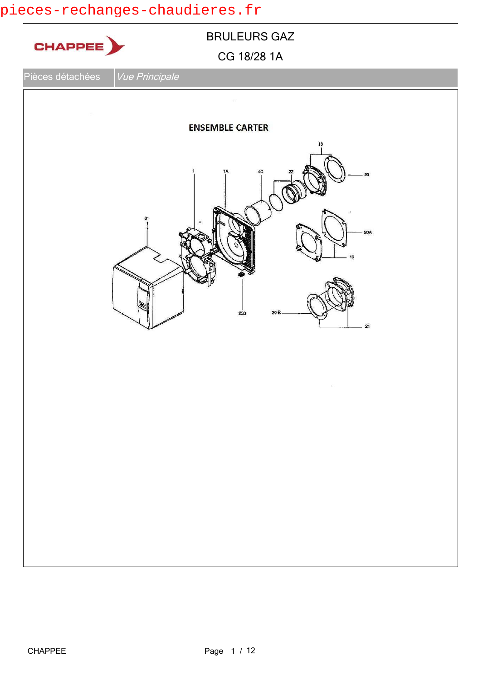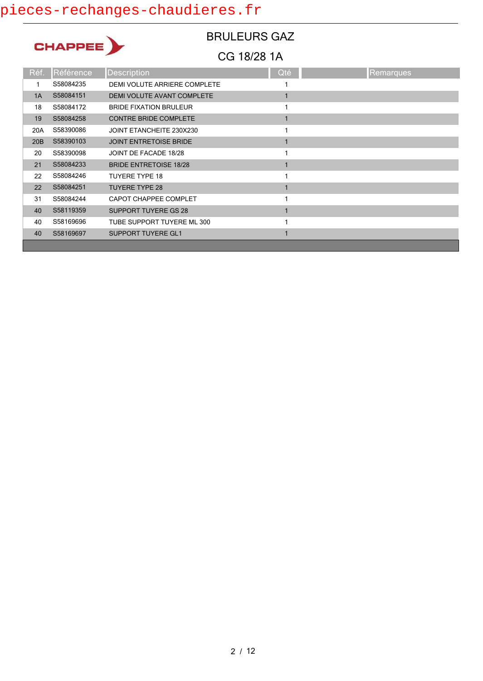

BRULEURS GAZ

| Réf. | Référence | <b>Description</b>            | Qté | Remarques |
|------|-----------|-------------------------------|-----|-----------|
|      | S58084235 | DEMI VOLUTE ARRIERE COMPLETE  |     |           |
| 1A   | S58084151 | DEMI VOLUTE AVANT COMPLETE    |     |           |
| 18   | S58084172 | <b>BRIDE FIXATION BRULEUR</b> |     |           |
| 19   | S58084258 | <b>CONTRE BRIDE COMPLETE</b>  |     |           |
| 20A  | S58390086 | JOINT ETANCHEITE 230X230      |     |           |
| 20B  | S58390103 | <b>JOINT ENTRETOISE BRIDE</b> |     |           |
| 20   | S58390098 | JOINT DE FACADE 18/28         |     |           |
| 21   | S58084233 | <b>BRIDE ENTRETOISE 18/28</b> |     |           |
| 22   | S58084246 | <b>TUYERE TYPE 18</b>         |     |           |
| 22   | S58084251 | <b>TUYERE TYPE 28</b>         |     |           |
| 31   | S58084244 | CAPOT CHAPPEE COMPLET         |     |           |
| 40   | S58119359 | <b>SUPPORT TUYERE GS 28</b>   |     |           |
| 40   | S58169696 | TUBE SUPPORT TUYERE ML 300    |     |           |
| 40   | S58169697 | <b>SUPPORT TUYERE GL1</b>     |     |           |
|      |           |                               |     |           |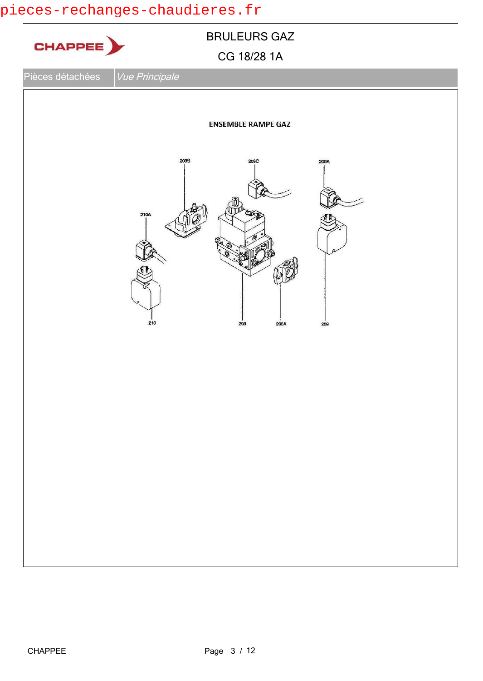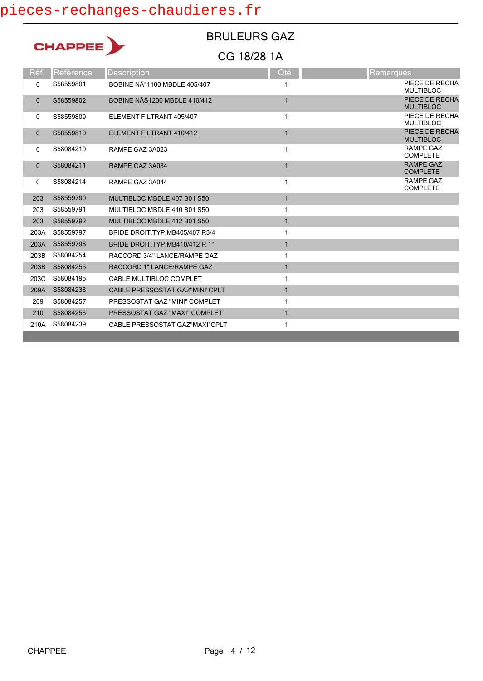| CHAPPI |  |
|--------|--|
|        |  |

### BRULEURS GAZ

| Réf.         | Référence | <b>Description</b>                  | Qté | <b>Remarques</b>                    |
|--------------|-----------|-------------------------------------|-----|-------------------------------------|
| 0            | S58559801 | BOBINE N°1100 MBDLE 405/407         |     | PIECE DE RECHA<br><b>MULTIBLOC</b>  |
| $\mathbf{0}$ | S58559802 | <b>BOBINE NÄŠ1200 MBDLE 410/412</b> |     | PIECE DE RECHA<br><b>MULTIBLOC</b>  |
| 0            | S58559809 | ELEMENT FILTRANT 405/407            |     | PIECE DE RECHA<br><b>MULTIBLOC</b>  |
| $\mathbf{0}$ | S58559810 | ELEMENT FILTRANT 410/412            |     | PIECE DE RECHA<br><b>MULTIBLOC</b>  |
| 0            | S58084210 | RAMPE GAZ 3A023                     | 1   | RAMPE GAZ<br><b>COMPLETE</b>        |
| $\mathbf{0}$ | S58084211 | RAMPE GAZ 3A034                     |     | <b>RAMPE GAZ</b><br><b>COMPLETE</b> |
| 0            | S58084214 | RAMPE GAZ 3A044                     |     | <b>RAMPE GAZ</b><br><b>COMPLETE</b> |
| 203          | S58559790 | MULTIBLOC MBDLE 407 B01 S50         | 1   |                                     |
| 203          | S58559791 | MULTIBLOC MBDLE 410 B01 S50         | 1   |                                     |
| 203          | S58559792 | MULTIBLOC MBDLE 412 B01 S50         |     |                                     |
| 203A         | S58559797 | BRIDE DROIT.TYP.MB405/407 R3/4      |     |                                     |
| 203A         | S58559798 | BRIDE DROIT TYP MB410/412 R 1"      |     |                                     |
| 203B         | S58084254 | RACCORD 3/4" LANCE/RAMPE GAZ        |     |                                     |
| 203B         | S58084255 | RACCORD 1" LANCE/RAMPE GAZ          |     |                                     |
| 203C         | S58084195 | CABLE MULTIBLOC COMPLET             |     |                                     |
| 209A         | S58084238 | CABLE PRESSOSTAT GAZ"MINI"CPLT      | 1   |                                     |
| 209          | S58084257 | PRESSOSTAT GAZ "MINI" COMPLET       |     |                                     |
| 210          | S58084256 | PRESSOSTAT GAZ "MAXI" COMPLET       |     |                                     |
| 210A         | S58084239 | CABLE PRESSOSTAT GAZ"MAXI"CPLT      | 1   |                                     |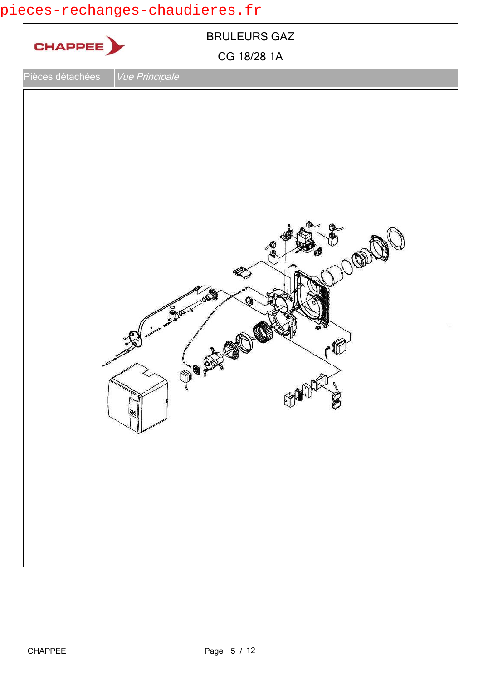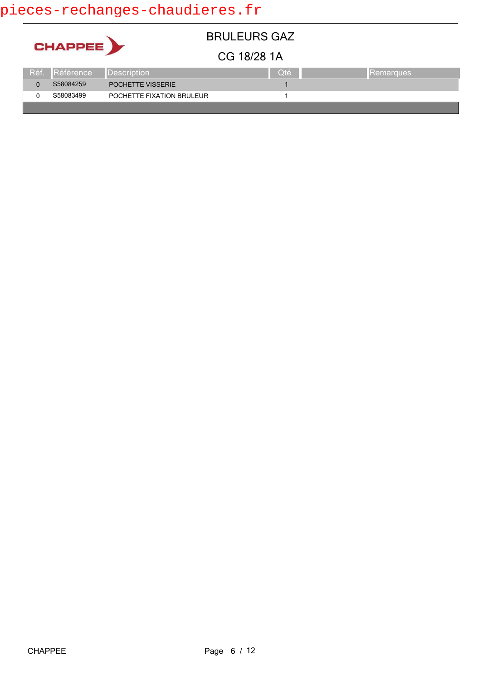|                |      |                  |                           | <b>BRULEURS GAZ</b> |     |                  |
|----------------|------|------------------|---------------------------|---------------------|-----|------------------|
| <b>CHAPPEE</b> |      |                  | CG 18/28 1A               |                     |     |                  |
|                | Réf. | <b>Référence</b> | Description               |                     | Oté | <b>Remarques</b> |
|                |      | S58084259        | POCHETTE VISSERIE         |                     |     |                  |
|                |      | S58083499        | POCHETTE FIXATION BRULEUR |                     |     |                  |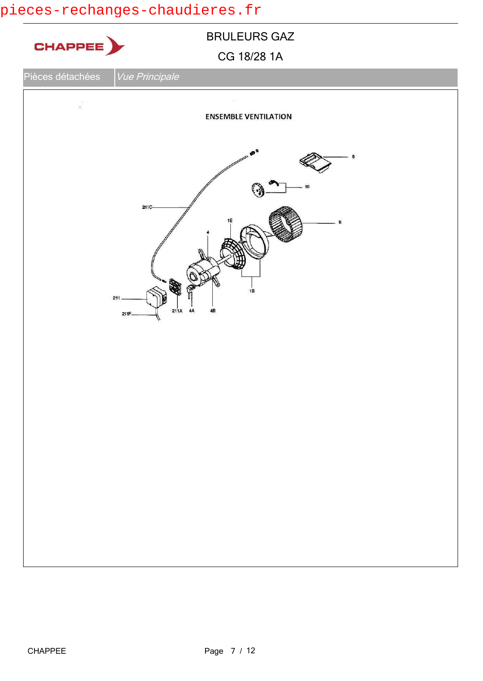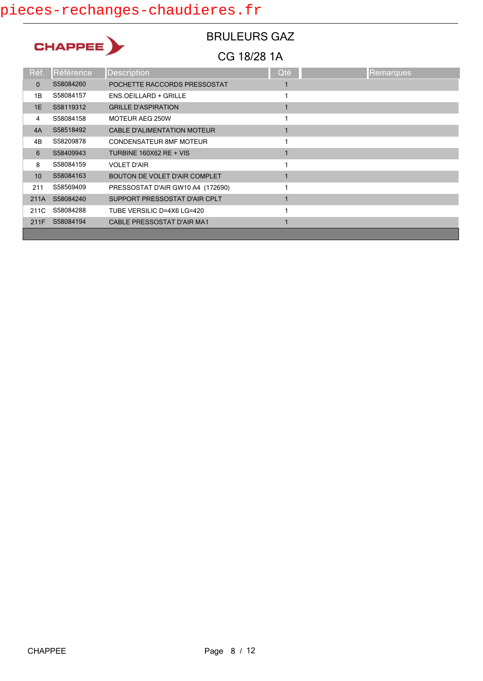CHAPPEE )

# BRULEURS GAZ

| Réf.         | Référence | <b>Description</b>                   | Qté | Remarques |
|--------------|-----------|--------------------------------------|-----|-----------|
| $\mathbf{0}$ | S58084260 | POCHETTE RACCORDS PRESSOSTAT         |     |           |
| 1B           | S58084157 | <b>ENS.OEILLARD + GRILLE</b>         |     |           |
| 1E           | S58119312 | <b>GRILLE D'ASPIRATION</b>           |     |           |
| 4            | S58084158 | MOTEUR AEG 250W                      |     |           |
| 4A           | S58518492 | <b>CABLE D'ALIMENTATION MOTEUR</b>   |     |           |
| 4B           | S58209878 | <b>CONDENSATEUR 8MF MOTEUR</b>       |     |           |
| 6            | S58409943 | <b>TURBINE 160X62 RE + VIS</b>       |     |           |
| 8            | S58084159 | <b>VOLET D'AIR</b>                   |     |           |
| 10           | S58084163 | <b>BOUTON DE VOLET D'AIR COMPLET</b> |     |           |
| 211          | S58569409 | PRESSOSTAT D'AIR GW10 A4 (172690)    |     |           |
| 211A         | S58084240 | SUPPORT PRESSOSTAT D'AIR CPLT        |     |           |
| 211C         | S58084288 | TUBE VERSILIC D=4X6 LG=420           |     |           |
| 211F         | S58084194 | CABLE PRESSOSTAT D'AIR MA1           |     |           |
|              |           |                                      |     |           |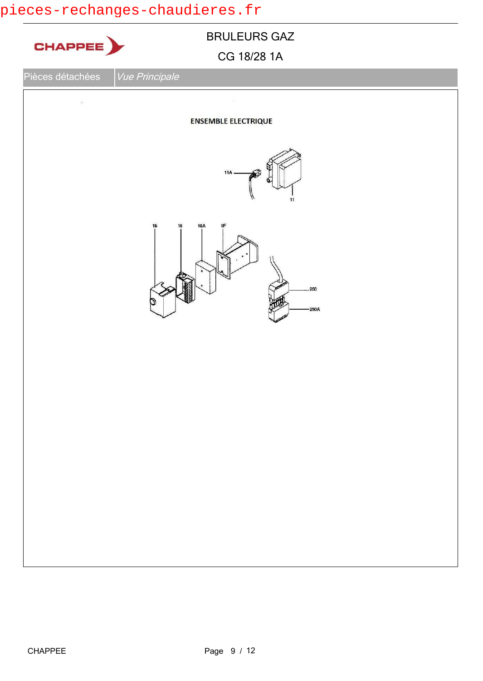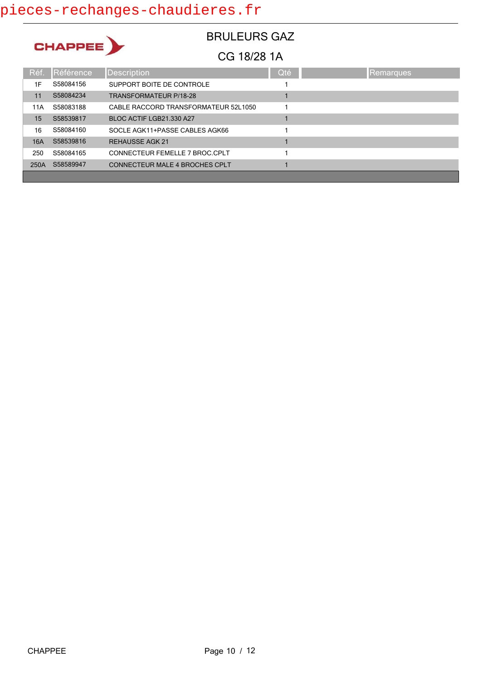CHAPPEE)

### BRULEURS GAZ

| Réf. | Référence | <b>Description</b>                   | Qté | Remarques |
|------|-----------|--------------------------------------|-----|-----------|
| 1F   | S58084156 | SUPPORT BOITE DE CONTROLE            |     |           |
| 11   | S58084234 | <b>TRANSFORMATEUR P/18-28</b>        |     |           |
| 11A  | S58083188 | CABLE RACCORD TRANSFORMATEUR 52L1050 |     |           |
| 15   | S58539817 | BLOC ACTIF LGB21.330 A27             |     |           |
| 16   | S58084160 | SOCLE AGK11+PASSE CABLES AGK66       |     |           |
| 16A  | S58539816 | <b>REHAUSSE AGK 21</b>               |     |           |
| 250  | S58084165 | CONNECTEUR FEMELLE 7 BROC CPLT       |     |           |
| 250A | S58589947 | CONNECTEUR MALE 4 BROCHES CPLT       |     |           |
|      |           |                                      |     |           |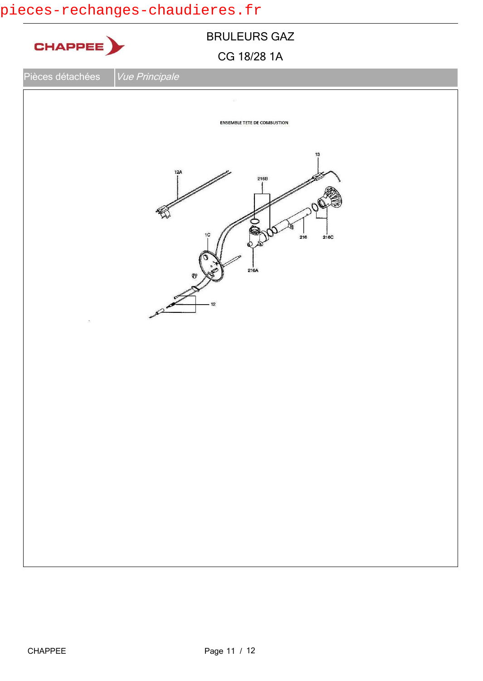